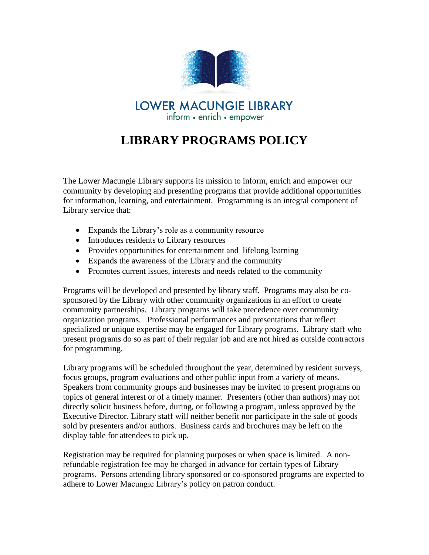

## **LIBRARY PROGRAMS POLICY**

The Lower Macungie Library supports its mission to inform, enrich and empower our community by developing and presenting programs that provide additional opportunities for information, learning, and entertainment. Programming is an integral component of Library service that:

- Expands the Library's role as a community resource
- Introduces residents to Library resources
- Provides opportunities for entertainment and lifelong learning
- Expands the awareness of the Library and the community
- Promotes current issues, interests and needs related to the community

Programs will be developed and presented by library staff. Programs may also be cosponsored by the Library with other community organizations in an effort to create community partnerships. Library programs will take precedence over community organization programs. Professional performances and presentations that reflect specialized or unique expertise may be engaged for Library programs. Library staff who present programs do so as part of their regular job and are not hired as outside contractors for programming.

Library programs will be scheduled throughout the year, determined by resident surveys, focus groups, program evaluations and other public input from a variety of means. Speakers from community groups and businesses may be invited to present programs on topics of general interest or of a timely manner. Presenters (other than authors) may not directly solicit business before, during, or following a program, unless approved by the Executive Director. Library staff will neither benefit nor participate in the sale of goods sold by presenters and/or authors. Business cards and brochures may be left on the display table for attendees to pick up.

Registration may be required for planning purposes or when space is limited. A nonrefundable registration fee may be charged in advance for certain types of Library programs. Persons attending library sponsored or co-sponsored programs are expected to adhere to Lower Macungie Library's policy on patron conduct.